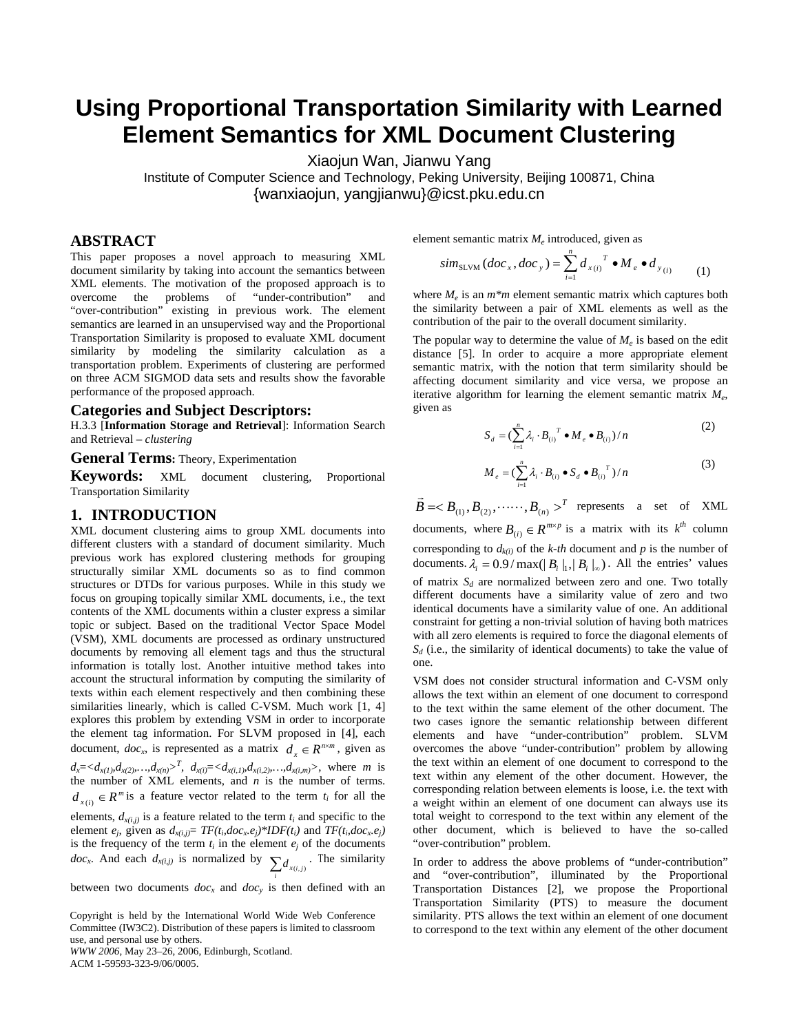# **Using Proportional Transportation Similarity with Learned Element Semantics for XML Document Clustering**

Xiaojun Wan, Jianwu Yang

Institute of Computer Science and Technology, Peking University, Beijing 100871, China {wanxiaojun, yangjianwu}@icst.pku.edu.cn

# **ABSTRACT**

This paper proposes a novel approach to measuring XML document similarity by taking into account the semantics between XML elements. The motivation of the proposed approach is to overcome the problems of "under-contribution" and "over-contribution" existing in previous work. The element semantics are learned in an unsupervised way and the Proportional Transportation Similarity is proposed to evaluate XML document similarity by modeling the similarity calculation as a transportation problem. Experiments of clustering are performed on three ACM SIGMOD data sets and results show the favorable performance of the proposed approach.

## **Categories and Subject Descriptors:**

H.3.3 [**Information Storage and Retrieval**]: Information Search and Retrieval – *clustering*

### **General Terms:** Theory, Experimentation

**Keywords:** XML document clustering, Proportional Transportation Similarity

#### **1. INTRODUCTION**

XML document clustering aims to group XML documents into different clusters with a standard of document similarity. Much previous work has explored clustering methods for grouping structurally similar XML documents so as to find common structures or DTDs for various purposes. While in this study we focus on grouping topically similar XML documents, i.e., the text contents of the XML documents within a cluster express a similar topic or subject. Based on the traditional Vector Space Model (VSM), XML documents are processed as ordinary unstructured documents by removing all element tags and thus the structural information is totally lost. Another intuitive method takes into account the structural information by computing the similarity of texts within each element respectively and then combining these similarities linearly, which is called C-VSM. Much work [1, 4] explores this problem by extending VSM in order to incorporate the element tag information. For SLVM proposed in [4], each document,  $doc_x$ , is represented as a matrix  $d_x \in R^{n \times m}$ , given as  $d_x = \langle d_{x(1)}, d_{x(2)}, ..., d_{x(n)} \rangle^T$ ,  $d_{x(i)} = \langle d_{x(i,1)}, d_{x(i,2)}, ..., d_{x(i,m)} \rangle$ , where *m* is the number of XML elements, and *n* is the number of terms.  $d_{x(i)} \in R^m$  is a feature vector related to the term  $t_i$  for all the elements,  $d_{x(i,j)}$  is a feature related to the term  $t_i$  and specific to the element  $e_j$ , given as  $d_{x(i,j)} = TF(t_i doc_x.e_j)*IDF(t_i)$  and  $TF(t_idoc_x.e_j)$ is the frequency of the term  $t_i$  in the element  $e_j$  of the documents

*doc<sub>x</sub>*. And each  $d_{x(i,j)}$  is normalized by  $\sum d_{x(i,j)}$ . The similarity *i*

between two documents  $doc<sub>x</sub>$  and  $doc<sub>y</sub>$  is then defined with an

*WWW 2006,* May 23–26, 2006, Edinburgh, Scotland. ACM 1-59593-323-9/06/0005.

element semantic matrix *M <sup>e</sup>* introduced, given as

$$
sim_{\text{SLVM}}(doc_{x},doc_{y}) = \sum_{i=1}^{n} d_{x(i)}^T \cdot M_{e} \cdot d_{y(i)} \qquad (1)
$$

where  $M_e$  is an  $m*m$  element semantic matrix which captures both the similarity between a pair of XML elements as well as the contribution of the pair to the overall document similarity.

The popular way to determine the value of  $M_e$  is based on the edit distance [5]. In order to acquire a more appropriate element semantic matrix, with the notion that term similarity should be affecting document similarity and vice versa, we propose an iterative algorithm for learning the element semantic matrix *Me*, given as

$$
S_d = \left(\sum_{i=1}^n \lambda_i \cdot B_{(i)}^T \bullet M_e \bullet B_{(i)}\right) / n \tag{2}
$$

$$
M_e = (\sum_{i=1}^n \lambda_i \cdot B_{(i)} \bullet S_d \bullet B_{(i)}^{T})/n
$$
 (3)

 $\vec{B} = \langle B_{(1)}, B_{(2)}, \cdots, B_{(n)} \rangle^T$  represents a set of XML documents, where  $B_{(i)} \in R^{m \times p}$  is a matrix with its  $k^{th}$  column corresponding to  $d_{k(i)}$  of the *k-th* document and  $p$  is the number of documents.  $\lambda_i = 0.9 / \max(|B_i|, |B_i|)$ . All the entries' values of matrix  $S_d$  are normalized between zero and one. Two totally different documents have a similarity value of zero and two identical documents have a similarity value of one. An additional constraint for getting a non-trivial solution of having both matrices with all zero elements is required to force the diagonal elements of  $S_d$  (i.e., the similarity of identical documents) to take the value of one.

VSM does not consider structural information and C-VSM only allows the text within an element of one document to correspond to the text within the same element of the other document. The two cases ignore the semantic relationship between different elements and have "under-contribution" problem. SLVM overcomes the above "under-contribution" problem by allowing the text within an element of one document to correspond to the text within any element of the other document. However, the corresponding relation between elements is loose, i.e. the text with a weight within an element of one document can always use its total weight to correspond to the text within any element of the other document, which is believed to have the so-called "over-contribution" problem.

In order to address the above problems of "under-contribution" and "over-contribution", illuminated by the Proportional Transportation Distances [2], we propose the Proportional Transportation Similarity (PTS) to measure the document similarity. PTS allows the text within an element of one document to correspond to the text within any element of the other document

Copyright is held by the International World Wide Web Conference Committee (IW3C2). Distribution of these papers is limited to classroom use, and personal use by others.